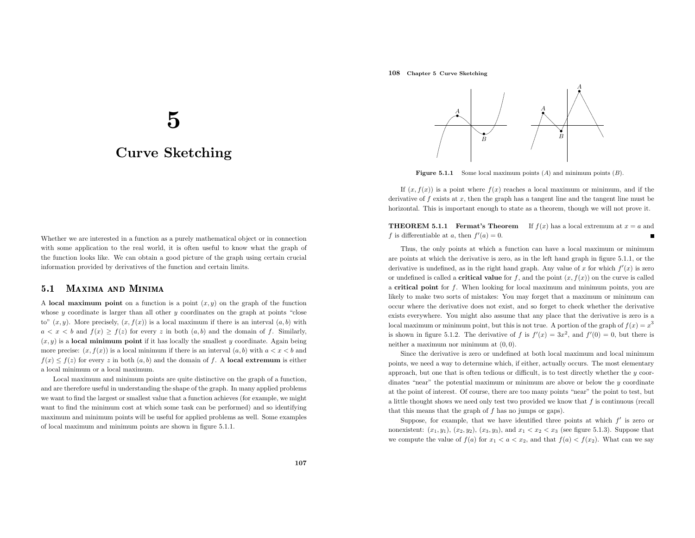# 108 Chapter <sup>5</sup> Curve Sketching

# 5

# Curve Sketching

Whether we are interested in <sup>a</sup> function as <sup>a</sup> purely mathematical object or in connection with some application to the real world, it is often useful to know what the grap<sup>h</sup> of the function looks like. We can obtain <sup>a</sup> good <sup>p</sup>icture of the grap<sup>h</sup> using certain crucial information provided by derivatives of the function and certain limits.

#### 5.11 MAXIMA AND MINIMA

A local maximum point on a function is a point  $(x, y)$  on the graph of the function whose  $y$  coordinate is larger than all other  $y$  coordinates on the graph at points "close to"  $(x, y)$ . More precisely,  $(x, f(x))$  is a local maximum if there is an interval  $(a, b)$  with  $a < x < b$  and  $f(x) \ge f(z)$  for every z in both  $(a, b)$  and the domain of f. Similarly,  $(x, y)$  is a **local minimum point** if it has locally the smallest y coordinate. Again being more precise:  $(x, f(x))$  is a local minimum if there is an interval  $(a, b)$  with  $a < x < b$  and  $f(x) \le f(z)$  for every z in both  $(a, b)$  and the domain of f. A local extremum is either <sup>a</sup> local minimum or <sup>a</sup> local maximum.

Local maximum and minimum points are quite distinctive on the grap<sup>h</sup> of <sup>a</sup> function, and are therefore useful in understanding the shape of the graph. In many applied problems we want to find the largest or smallest value that <sup>a</sup> function achieves (for example, we might want to find the minimum cost at which some task can be performed) and so identifying maximum and minimum points will be useful for applied problems as well. Some examples of local maximum and minimum points are shown in figure 5.1.1.



**Figure 5.1.1** Some local maximum points  $(A)$  and minimum points  $(B)$ .

If  $(x, f(x))$  is a point where  $f(x)$  reaches a local maximum or minimum, and if the derivative of  $f$  exists at  $x$ , then the graph has a tangent line and the tangent line must be horizontal. This is important enoug<sup>h</sup> to state as <sup>a</sup> theorem, though we will not prove it.

**THEOREM 5.1.1 Fermat's Theorem** If  $f(x)$  has a local extremum at  $x = a$  and f is differentiable at a, then  $f'(a) = 0$ .

Thus, the only points at which <sup>a</sup> function can have <sup>a</sup> local maximum or minimum are points at which the derivative is zero, as in the left hand grap<sup>h</sup> in figure 5.1.1, or the derivative is undefined, as in the right hand graph. Any value of x for which  $f'(x)$  is zero or undefined is called a **critical value** for  $f$ , and the point  $(x, f(x))$  on the curve is called a critical point for  $f$ . When looking for local maximum and minimum points, you are likely to make two sorts of mistakes: You may forget that <sup>a</sup> maximum or minimum can occur where the derivative does not exist, and so forget to check whether the derivative exists everywhere. You might also assume that any <sup>p</sup>lace that the derivative is zero is <sup>a</sup> local maximum or minimum point, but this is not true. A portion of the graph of  $f(x) = x^3$ is shown in figure 5.1.2. The derivative of f is  $f'(x) = 3x^2$ , and  $f'(0) = 0$ , but there is neither <sup>a</sup> maximum nor minimum at (0, 0).

Since the derivative is zero or undefined at both local maximum and local minimum points, we need <sup>a</sup> way to determine which, if either, actually occurs. The most elementary approach, but one that is often tedious or difficult, is to test directly whether the  $y$  coordinates "near" the potential maximum or minimum are above or below the  $\eta$  coordinate at the point of interest. Of course, there are too many points "near" the point to test, but a little thought shows we need only test two provided we know that  $f$  is continuous (recall that this means that the grap<sup>h</sup> of f has no jumps or gaps).

Suppose, for example, that we have identified three points at which  $f'$  is zero or nonexistent:  $(x_1, y_1)$ ,  $(x_2, y_2)$ ,  $(x_3, y_3)$ , and  $x_1 < x_2 < x_3$  (see figure 5.1.3). Suppose that we compute the value of  $f(a)$  for  $x_1 < a < x_2$ , and that  $f(a) < f(x_2)$ . What can we say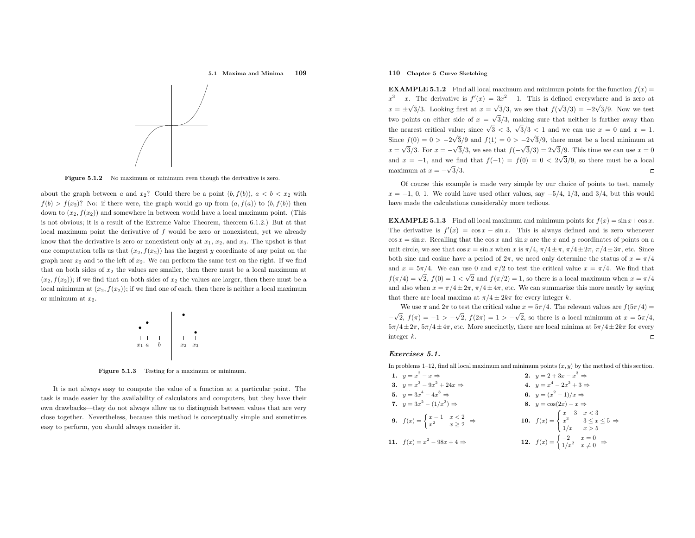5.1 Maxima and Minima<sup>109</sup>



**Figure 5.1.2** No maximum or minimum even though the derivative is zero.

about the graph between a and  $x_2$ ? Could there be a point  $(b, f(b))$ ,  $a < b < x_2$  with  $f(b) > f(x_2)$ ? No: if there were, the graph would go up from  $(a, f(a))$  to  $(b, f(b))$  then down to  $(x_2, f(x_2))$  and somewhere in between would have a local maximum point. (This is not obvious; it is <sup>a</sup> result of the Extreme Value Theorem, theorem 6.1.2.) But at that local maximum point the derivative of  $f$  would be zero or nonexistent, yet we already know that the derivative is zero or nonexistent only at  $x_1, x_2$ , and  $x_3$ . The upshot is that one computation tells us that  $(x_2, f(x_2))$  has the largest y coordinate of any point on the graph near  $x_2$  and to the left of  $x_2$ . We can perform the same test on the right. If we find that on both sides of  $x_2$  the values are smaller, then there must be a local maximum at  $(x_2, f(x_2))$ ; if we find that on both sides of  $x_2$  the values are larger, then there must be a local minimum at  $(x_2, f(x_2))$ ; if we find one of each, then there is neither a local maximum or minimum at  $x_2$ .



Figure 5.1.3 Testing for <sup>a</sup> maximum or minimum.

It is not always easy to compute the value of <sup>a</sup> function at <sup>a</sup> particular point. The task is made easier by the availability of calculators and computers, but they have their own drawbacks—they do not always allow us to distinguish between values that are very close together. Nevertheless, because this method is conceptually simple and sometimes easy to perform, you should always consider it.

# 110 Chapter <sup>5</sup> Curve Sketching

**EXAMPLE 5.1.2** Find all local maximum and minimum points for the function  $f(x) =$  $x^3 - x$ . The derivative is  $f'(x) = 3x^2 - 1$ . This is defined everywhere and is zero at  $x = \pm\sqrt{3}/3$ . Looking first at  $x = \sqrt{3}/3$ , we see that  $f(\sqrt{3}/3) = -2\sqrt{3}/9$ . Now we test two points on either side of  $x = \sqrt{3}/3$ , making sure that neither is farther away than the nearest critical value; since  $\sqrt{3}$  < 3,  $\sqrt{3}/3$  < 1 and we can use  $x = 0$  and  $x = 1$ . Since  $f(0) = 0 > -2\sqrt{3}/9$  and  $f(1) = 0 > -2\sqrt{3}/9$ , there must be a local minimum at  $x = \sqrt{3}/3$ . For  $x = -\sqrt{3}/3$ , we see that  $f(-\sqrt{3}/3) = 2\sqrt{3}/9$ . This time we can use  $x = 0$ and  $x = -1$ , and we find that  $f(-1) = f(0) = 0 < 2\sqrt{3}/9$ , so there must be a local maximum at  $x = -\sqrt{3}/3$ .

Of course this example is made very simple by our choice of points to test, namely $x = -1, 0, 1$ . We could have used other values, say  $-5/4, 1/3$ , and 3/4, but this would have made the calculations considerably more tedious.

**EXAMPLE 5.1.3** Find all local maximum and minimum points for  $f(x) = \sin x + \cos x$ . The derivative is  $f'(x) = \cos x - \sin x$ . This is always defined and is zero whenever  $\cos x = \sin x$ . Recalling that the  $\cos x$  and  $\sin x$  are the x and y coordinates of points on a unit circle, we see that  $\cos x = \sin x$  when x is  $\pi/4$ ,  $\pi/4 \pm \pi$ ,  $\pi/4 \pm 2\pi$ ,  $\pi/4 \pm 3\pi$ , etc. Since both sine and cosine have a period of  $2\pi$ , we need only determine the status of  $x = \pi/4$ and  $x = 5\pi/4$ . We can use 0 and  $\pi/2$  to test the critical value  $x = \pi/4$ . We find that  $f(\pi/4) = \sqrt{2}$ ,  $f(0) = 1 < \sqrt{2}$  and  $f(\pi/2) = 1$ , so there is a local maximum when  $x = \pi/4$ and also when  $x = \pi/4 \pm 2\pi$ ,  $\pi/4 \pm 4\pi$ , etc. We can summarize this more neatly by saying that there are local maxima at  $\pi/4 \pm 2k\pi$  for every integer k.

We use  $\pi$  and  $2\pi$  to test the critical value  $x = 5\pi/4$ . The relevant values are  $f(5\pi/4) =$  $-\sqrt{2}$ ,  $f(\pi) = -1 > -\sqrt{2}$ ,  $f(2\pi) = 1 > -\sqrt{2}$ , so there is a local minimum at  $x = 5\pi/4$ ,  $5\pi/4 \pm 2\pi$ ,  $5\pi/4 \pm 4\pi$ , etc. More succinctly, there are local minima at  $5\pi/4 \pm 2k\pi$  for every integer <sup>k</sup>.

## Exercises 5.1.

In problems 1–12, find all local maximum and minimum points  $(x, y)$  by the method of this section.

| 1. $y = x^2 - x \Rightarrow$                                                          | <b>2.</b> $y = 2 + 3x - x^3 \Rightarrow$                                                          |
|---------------------------------------------------------------------------------------|---------------------------------------------------------------------------------------------------|
| 3. $y = x^3 - 9x^2 + 24x \Rightarrow$                                                 | 4. $y = x^4 - 2x^2 + 3 \Rightarrow$                                                               |
| 5. $y = 3x^4 - 4x^3 \Rightarrow$                                                      | 6. $y = (x^2 - 1)/x \Rightarrow$                                                                  |
| 7. $y = 3x^2 - (1/x^2) \Rightarrow$                                                   | 8. $y = cos(2x) - x \Rightarrow$                                                                  |
| <b>9.</b> $f(x) = \begin{cases} x-1 & x < 2 \\ x^2 & x \ge 2 \end{cases} \Rightarrow$ | <b>10.</b> $f(x) = \begin{cases} x - 3 & x < 3 \\ x^3 & 3 \le x \le 5 \\ 1/x & x > 5 \end{cases}$ |
| 11. $f(x) = x^2 - 98x + 4 \Rightarrow$                                                | <b>12.</b> $f(x) = \begin{cases} -2 & x = 0 \\ 1/x^2 & x \neq 0 \end{cases} \Rightarrow$          |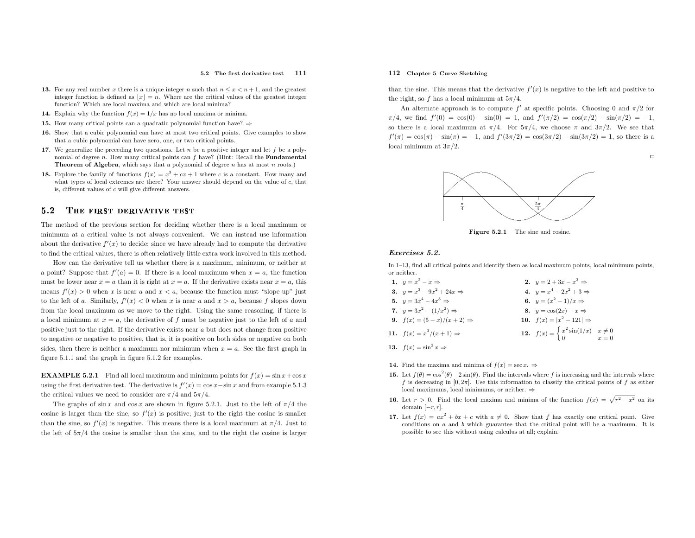#### 5.2 The first derivative test <sup>111</sup>

- 13. For any real number x there is a unique integer n such that  $n \leq x < n+1$ , and the greatest integer function is defined as  $\lfloor x \rfloor = n$ . Where are the critical values of the greatest integer function? Which are local maxima and which are local minima?
- **14.** Explain why the function  $f(x) = 1/x$  has no local maxima or minima.
- **15.** How many critical points can a quadratic polynomial function have?  $\Rightarrow$
- 16. Show that <sup>a</sup> cubic polynomial can have at most two critical points. Give examples to showthat <sup>a</sup> cubic polynomial can have zero, one, or two critical points.
- 17. We generalize the preceding two questions. Let  $n$  be a positive integer and let  $f$  be a polynomial of degree *n*. How many critical points can  $f$  have? (Hint: Recall the **Fundamental Theorem of Algebra**, which says that a polynomial of degree  $n$  has at most  $n$  roots.)
- **18.** Explore the family of functions  $f(x) = x^3 + cx + 1$  where c is a constant. How many and what types of local extremes are there? Your answer should depend on the value of <sup>c</sup>, that is, different values of <sup>c</sup> will <sup>g</sup>ive different answers.

#### 5.22 THE FIRST DERIVATIVE TEST

The method of the previous section for deciding whether there is <sup>a</sup> local maximum or minimum at <sup>a</sup> critical value is not always convenient. We can instead use informationabout the derivative  $f'(x)$  to decide; since we have already had to compute the derivative to find the critical values, there is often relatively little extra work involved in this method.

How can the derivative tell us whether there is <sup>a</sup> maximum, minimum, or neither at a point? Suppose that  $f'(a) = 0$ . If there is a local maximum when  $x = a$ , the function must be lower near  $x = a$  than it is right at  $x = a$ . If the derivative exists near  $x = a$ , this means  $f'(x) > 0$  when x is near a and  $x < a$ , because the function must "slope up" just to the left of a. Similarly,  $f'(x) < 0$  when x is near a and  $x > a$ , because f slopes down from the local maximum as we move to the right. Using the same reasoning, if there is a local minimum at  $x = a$ , the derivative of f must be negative just to the left of a and positive just to the right. If the derivative exists near <sup>a</sup> but does not change from positive to negative or negative to positive, that is, it is positive on both sides or negative on bothsides, then there is neither a maximum nor minimum when  $x = a$ . See the first graph in figure 5.1.1 and the grap<sup>h</sup> in figure 5.1.2 for examples.

**EXAMPLE 5.2.1** Find all local maximum and minimum points for  $f(x) = \sin x + \cos x$ using the first derivative test. The derivative is  $f'(x) = \cos x - \sin x$  and from example 5.1.3 the critical values we need to consider are  $\pi/4$  and  $5\pi/4$ .

The graphs of  $\sin x$  and  $\cos x$  are shown in figure 5.2.1. Just to the left of  $\pi/4$  the cosine is larger than the sine, so  $f'(x)$  is positive; just to the right the cosine is smaller than the sine, so  $f'(x)$  is negative. This means there is a local maximum at  $\pi/4$ . Just to the left of  $5\pi/4$  the cosine is smaller than the sine, and to the right the cosine is larger

# 112 Chapter <sup>5</sup> Curve Sketching

than the sine. This means that the derivative  $f'(x)$  is negative to the left and positive to the right, so f has a local minimum at  $5\pi/4$ .

An alternate approach is to compute  $f'$  at specific points. Choosing 0 and  $\pi/2$  for  $\pi/4$ , we find  $f'(0) = \cos(0) - \sin(0) = 1$ , and  $f'(\pi/2) = \cos(\pi/2) - \sin(\pi/2) = -1$ , so there is a local maximum at  $\pi/4$ . For  $5\pi/4$ , we choose  $\pi$  and  $3\pi/2$ . We see that  $f'(\pi) = \cos(\pi) - \sin(\pi) = -1$ , and  $f'(3\pi/2) = \cos(3\pi/2) - \sin(3\pi/2) = 1$ , so there is a local minimum at  $3\pi/2$ .

 $\Box$ 



**Figure 5.2.1** The sine and cosine.

# Exercises 5.2.

In 1–13, find all critical points and identify them as local maximum points, local minimum points, or neither.

| 1. $y = x^2 - x \Rightarrow$            | 2. $y = 2 + 3x - x^3 \Rightarrow$                                                   |  |
|-----------------------------------------|-------------------------------------------------------------------------------------|--|
| 3. $y = x^3 - 9x^2 + 24x \Rightarrow$   | 4. $y = x^4 - 2x^2 + 3 \Rightarrow$                                                 |  |
| 5. $y = 3x^4 - 4x^3 \Rightarrow$        | 6. $y = (x^2 - 1)/x \Rightarrow$                                                    |  |
| 7. $y = 3x^2 - (1/x^2) \Rightarrow$     | 8. $y = cos(2x) - x \Rightarrow$                                                    |  |
| 9. $f(x) = (5 - x)/(x + 2) \Rightarrow$ | 10. $f(x) =  x^2 - 121  \Rightarrow$                                                |  |
| 11. $f(x) = x^3/(x+1) \Rightarrow$      | <b>12.</b> $f(x) = \begin{cases} x^2 \sin(1/x) & x \neq 0 \\ 0 & x = 0 \end{cases}$ |  |
|                                         |                                                                                     |  |

- 13.  $f(x) = \sin^2 x \Rightarrow$
- **14.** Find the maxima and minima of  $f(x) = \sec x. \Rightarrow$
- **15.** Let  $f(\theta) = \cos^2(\theta) 2\sin(\theta)$ . Find the intervals where f is increasing and the intervals where f is decreasing in  $[0, 2\pi]$ . Use this information to classify the critical points of f as either local maximums, local minimums, or neither.  $\Rightarrow$
- **16.** Let  $r > 0$ . Find the local maxima and minima of the function  $f(x) = \sqrt{r^2 x^2}$  on its domain  $[-r, r]$ .
- 17. Let  $f(x) = ax^2 + bx + c$  with  $a \neq 0$ . Show that f has exactly one critical point. Give Let  $f(x) = ax + bx + c$  with  $a \neq 0$ . Show that f has exactly one critical point. Give conditions on a and b which guarantee that the critical point will be a maximum. It is possible to see this without using calculus at all; explain.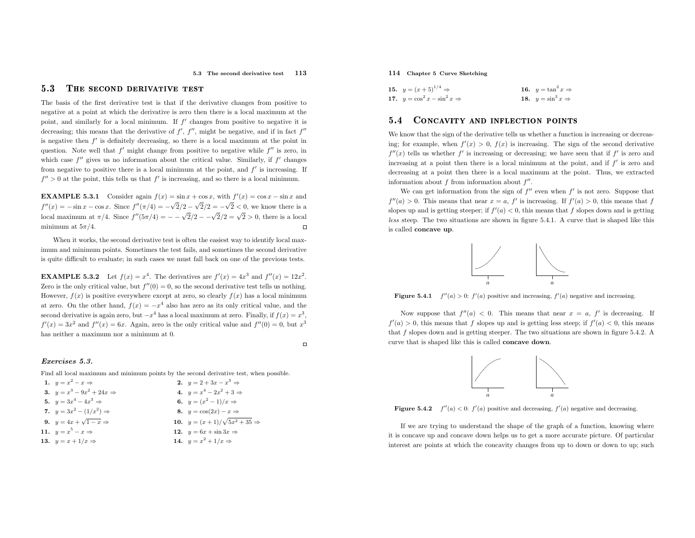#### 5.33 THE SECOND DERIVATIVE TEST

The basis of the first derivative test is that if the derivative changes from positive to negative at <sup>a</sup> point at which the derivative is zero then there is <sup>a</sup> local maximum at the point, and similarly for a local minimum. If  $f'$  changes from positive to negative it is decreasing; this means that the derivative of  $f'$ ,  $f''$ , might be negative, and if in fact  $f''$ is negative then  $f'$  is definitely decreasing, so there is a local maximum at the point in question. Note well that  $f'$  might change from positive to negative while  $f''$  is zero, in which case  $f''$  gives us no information about the critical value. Similarly, if  $f'$  changes from negative to positive there is a local minimum at the point, and  $f'$  is increasing. If  $f'' > 0$  at the point, this tells us that  $f'$  is increasing, and so there is a local minimum.

**EXAMPLE 5.3.1** Consider again  $f(x) = \sin x + \cos x$ , with  $f'(x) = \cos x - \sin x$  and  $f''(x) = -\sin x - \cos x$ . Since  $f''(\pi/4) = -\sqrt{2}/2 - \sqrt{2}/2 = -\sqrt{2} < 0$ , we know there is a local maximum at  $\pi/4$ . Since  $f''(5\pi/4) = -\sqrt{2}/2 - \sqrt{2}/2 = \sqrt{2} > 0$ , there is a local minimum at  $5\pi/4$ .

When it works, the second derivative test is often the easiest way to identify local maximum and minimum points. Sometimes the test fails, and sometimes the second derivative is quite difficult to evaluate; in such cases we must fall back on one of the previous tests.

**EXAMPLE 5.3.2** Let  $f(x) = x^4$ . The derivatives are  $f'(x) = 4x^3$  and  $f''(x) = 12x^2$ . Zero is the only critical value, but  $f''(0) = 0$ , so the second derivative test tells us nothing. However,  $f(x)$  is positive everywhere except at zero, so clearly  $f(x)$  has a local minimum at zero. On the other hand,  $f(x) = -x^4$  also has zero as its only critical value, and the second derivative is again zero, but  $-x^4$  has a local maximum at zero. Finally, if  $f(x) = x^3$ ,  $f'(x) = 3x^2$  and  $f''(x) = 6x$ . Again, zero is the only critical value and  $f''(0) = 0$ , but  $x^3$ has neither <sup>a</sup> maximum nor <sup>a</sup> minimum at 0.

# Exercises 5.3.

Find all local maximum and minimum points by the second derivative test, when possible.

| 1. $y = x^2 - x \Rightarrow$          | 2. $y = 2 + 3x - x^3 \Rightarrow$          |
|---------------------------------------|--------------------------------------------|
| 3. $y = x^3 - 9x^2 + 24x \Rightarrow$ | 4. $y = x^4 - 2x^2 + 3 \Rightarrow$        |
| 5. $y = 3x^4 - 4x^3 \Rightarrow$      | 6. $y = (x^2 - 1)/x \Rightarrow$           |
| 7. $y = 3x^2 - (1/x^2) \Rightarrow$   | 8. $y = cos(2x) - x \Rightarrow$           |
| 9. $y = 4x + \sqrt{1-x} \Rightarrow$  | 10. $y = (x+1)/\sqrt{5x^2+35} \Rightarrow$ |
| 11. $y = x^5 - x \Rightarrow$         | 12. $y = 6x + \sin 3x \Rightarrow$         |
| 13. $y = x + 1/x \Rightarrow$         | 14. $y = x^2 + 1/x \Rightarrow$            |
|                                       |                                            |

# 114 Chapter <sup>5</sup> Curve Sketching

| 15. $y = (x+5)^{1/4} \Rightarrow$         | 16. $y = \tan^2 x \Rightarrow$ |
|-------------------------------------------|--------------------------------|
| 17. $y = \cos^2 x - \sin^2 x \Rightarrow$ | 18. $y = \sin^3 x \Rightarrow$ |

#### 5.44 CONCAVITY AND INFLECTION POINTS

We know that the sign of the derivative tells us whether a function is increasing or decreasing; for example, when  $f'(x) > 0$ ,  $f(x)$  is increasing. The sign of the second derivative  $f''(x)$  tells us whether  $f'$  is increasing or decreasing; we have seen that if  $f'$  is zero and increasing at a point then there is a local minimum at the point, and if  $f'$  is zero and decreasing at <sup>a</sup> point then there is <sup>a</sup> local maximum at the point. Thus, we extractedinformation about  $f$  from information about  $f''$ .

We can get information from the sign of  $f''$  even when  $f'$  is not zero. Suppose that  $f''(a) > 0$ . This means that near  $x = a$ ,  $f'$  is increasing. If  $f'(a) > 0$ , this means that f slopes up and is getting steeper; if  $f'(a) < 0$ , this means that f slopes down and is getting less steep. The two situations are shown in figure 5.4.1. <sup>A</sup> curve that is shaped like this is called concave up.



**Figure 5.4.1**  $f''(a) > 0$ :  $f'(a)$  positive and increasing,  $f'(a)$  negative and increasing.

Now suppose that  $f''(a) < 0$ . This means that near  $x = a$ ,  $f'$  is decreasing. If  $f'(a) > 0$ , this means that f slopes up and is getting less steep; if  $f'(a) < 0$ , this means that  $f$  slopes down and is getting steeper. The two situations are shown in figure 5.4.2. A curve that is shaped like this is called concave down.





If we are trying to understand the shape of the grap<sup>h</sup> of <sup>a</sup> function, knowing where it is concave up and concave down helps us to get <sup>a</sup> more accurate <sup>p</sup>icture. Of particular interest are points at which the concavity changes from up to down or down to up; such

 $\Box$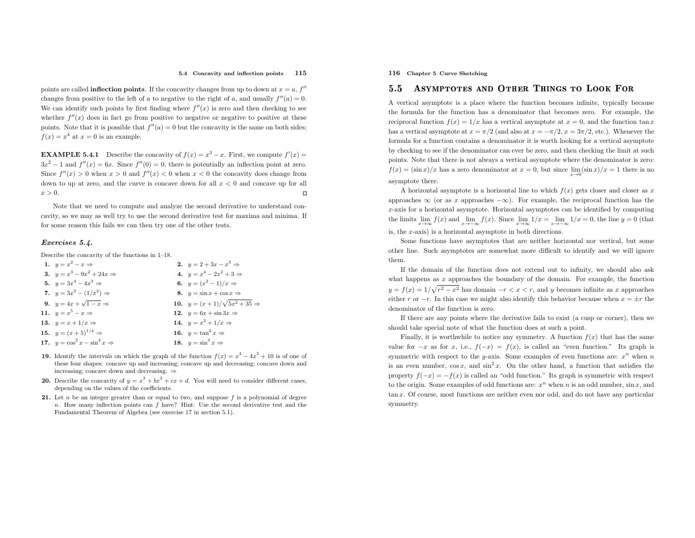#### 5.4 Concavity and inflection points <sup>115</sup>

points are called **inflection points**. If the concavity changes from up to down at  $x = a$ ,  $f''$ changes from positive to the left of a to negative to the right of a, and usually  $f''(a) = 0$ . We can identify such points by first finding where  $f''(x)$  is zero and then checking to see whether  $f''(x)$  does in fact go from positive to negative or negative to positive at these points. Note that it is possible that  $f''(a) = 0$  but the concavity is the same on both sides;  $f(x) = x^4$  at  $x = 0$  is an example.

**EXAMPLE 5.4.1** Describe the concavity of  $f(x) = x^3 - x$ . First, we compute  $f'(x) =$  $3x^2 - 1$  and  $f''(x) = 6x$ . Since  $f''(0) = 0$ , there is potentially an inflection point at zero. Since  $f''(x) > 0$  when  $x > 0$  and  $f''(x) < 0$  when  $x < 0$  the concavity does change from down to up at zero, and the curve is concave down for all  $x < 0$  and concave up for all  $x > 0$ .

Note that we need to compute and analyze the second derivative to understand concavity, so we may as well try to use the second derivative test for maxima and minima. If for some reason this fails we can then try one of the other tests.

## Exercises 5.4.

Describe the concavity of the functions in 1–18.

| 1. $y = x^2 - x \Rightarrow$              | 2. $y = 2 + 3x - x^3 \Rightarrow$          |
|-------------------------------------------|--------------------------------------------|
| 3. $y = x^3 - 9x^2 + 24x \Rightarrow$     | 4. $y = x^4 - 2x^2 + 3 \Rightarrow$        |
| 5. $y = 3x^4 - 4x^3 \Rightarrow$          | 6. $y = (x^2 - 1)/x \Rightarrow$           |
| 7. $y = 3x^2 - (1/x^2) \Rightarrow$       | 8. $y = \sin x + \cos x \Rightarrow$       |
| 9. $y = 4x + \sqrt{1-x} \Rightarrow$      | 10. $y = (x+1)/\sqrt{5x^2+35} \Rightarrow$ |
| 11. $y = x^5 - x \Rightarrow$             | 12. $y = 6x + \sin 3x \Rightarrow$         |
| 13. $y = x + 1/x \Rightarrow$             | 14. $y = x^2 + 1/x \Rightarrow$            |
| 15. $y = (x+5)^{1/4} \Rightarrow$         | 16. $y = \tan^2 x \Rightarrow$             |
| 17. $y = \cos^2 x - \sin^2 x \Rightarrow$ | 18. $y = \sin^3 x \Rightarrow$             |
|                                           |                                            |

- **19.** Identify the intervals on which the graph of the function  $f(x) = x^4 4x^3 + 10$  is of one of the set of one of the set of one of the set of one of the set of one of the set of one of the set of one of the set of one o these four shapes: concave up and increasing; concave up and decreasing; concave down andincreasing; concave down and decreasing. ⇒
- **20.** Describe the concavity of  $y = x^3 + bx^2 + cx + d$ . You will need to consider different cases, Describe the concavity of  $y = x^2 + bx + d$ <br>depending on the values of the coefficients.
- **21.** Let  $n$  be an integer greater than or equal to two, and suppose  $f$  is a polynomial of degree n. How many inflection points can  $f$  have? Hint: Use the second derivative test and the Fundamental Theorem of Algebra (see exercise <sup>17</sup> in section 5.1).

116 Chapter <sup>5</sup> Curve Sketching

#### 5.5Asymptotes and Other Things to Look For

<sup>A</sup> vertical asymptote is <sup>a</sup> <sup>p</sup>lace where the function becomes infinite, typically because the formula for the function has <sup>a</sup> denominator that becomes zero. For example, the reciprocal function  $f(x) = 1/x$  has a vertical asymptote at  $x = 0$ , and the function  $\tan x$ has a vertical asymptote at  $x = \pi/2$  (and also at  $x = -\pi/2$ ,  $x = 3\pi/2$ , etc.). Whenever the formula for <sup>a</sup> function contains <sup>a</sup> denominator it is worth looking for <sup>a</sup> vertical asymptote by checking to see if the denominator can ever be zero, and then checking the limit at such points. Note that there is not always <sup>a</sup> vertical asymptote where the denominator is zero:  $f(x) = (\sin x)/x$  has a zero denominator at  $x = 0$ , but since  $\lim_{x\to 0} (\sin x)/x = 1$  there is no asymptote there.

A horizontal asymptote is a horizontal line to which  $f(x)$  gets closer and closer as x approaches ∞ (or as x approaches  $-\infty$ ). For example, the reciprocal function has the <sup>x</sup>-axis for <sup>a</sup> horizontal asymptote. Horizontal asymptotes can be identified by computing the limits  $\lim_{x\to\infty}f(x)$  and  $\lim_{x\to-\infty}f(x)$ . Since  $\lim_{x\to\infty}1/x = \lim_{x\to-\infty}1/x = 0$ , the line  $y = 0$  (that is, the <sup>x</sup>-axis) is <sup>a</sup> horizontal asymptote in both directions.

Some functions have asymptotes that are neither horizontal nor vertical, but some other line. Such asymptotes are somewhat more difficult to identify and we will ignore them.

If the domain of the function does not extend out to infinity, we should also askwhat happens as  $x$  approaches the boundary of the domain. For example, the function  $y = f(x) = 1/\sqrt{r^2 - x^2}$  has domain  $-r < x < r$ , and y becomes infinite as x approaches either r or  $-r$ . In this case we might also identify this behavior because when  $x = \pm r$  the denominator of the function is zero.

If there are any points where the derivative fails to exist (a cusp or corner), then we should take special note of what the function does at such <sup>a</sup> point.

Finally, it is worthwhile to notice any symmetry. A function  $f(x)$  that has the same value for  $-x$  as for x, i.e.,  $f(-x) = f(x)$ , is called an "even function." Its graph is symmetric with respect to the y-axis. Some examples of even functions are:  $x^n$  when n is an even number,  $\cos x$ , and  $\sin^2 x$ . On the other hand, a function that satisfies the property  $f(-x) = -f(x)$  is called an "odd function." Its graph is symmetric with respect to the origin. Some examples of odd functions are:  $x^n$  when n is an odd number,  $\sin x$ , and tan <sup>x</sup>. Of course, most functions are neither even nor odd, and do not have any particular symmetry.